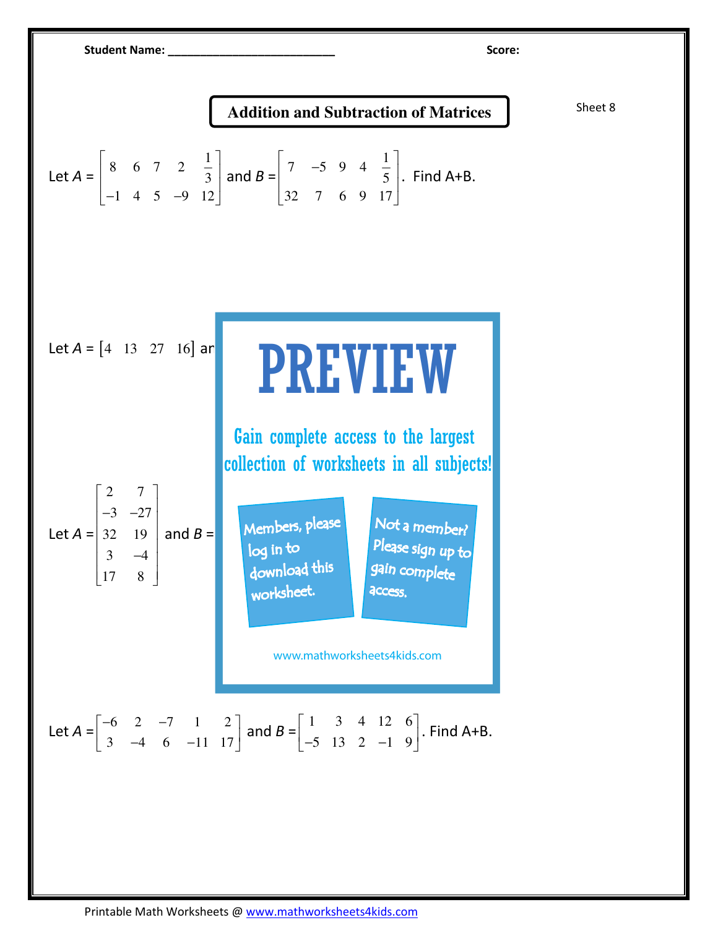